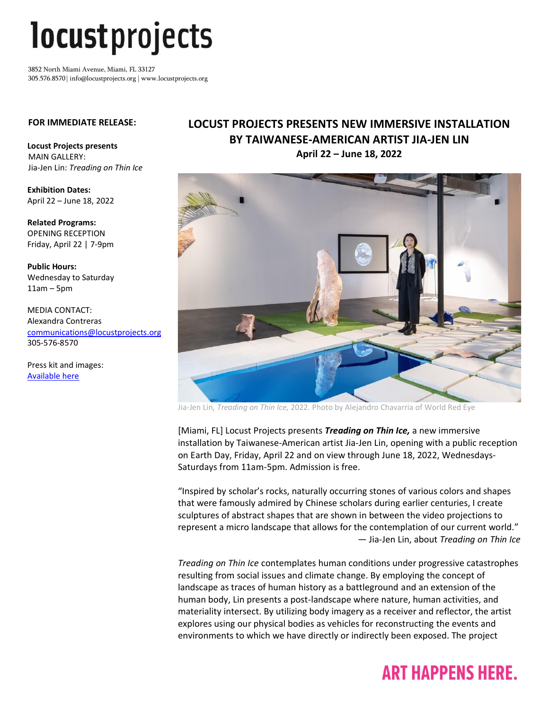# *locustprojects*

3852 North Miami Avenue, Miami, FL 33127 305.576.8570 | info@locustprojects.org | www.locustprojects.org

#### **FOR IMMEDIATE RELEASE:**

**Locust Projects presents**  MAIN GALLERY: Jia-Jen Lin: *Treading on Thin Ice*

**Exhibition Dates:** April 22 – June 18, 2022

**Related Programs:** OPENING RECEPTION Friday, April 22 | 7-9pm

**Public Hours:** Wednesday to Saturday 11am – 5pm

MEDIA CONTACT: Alexandra Contreras [communications@locustprojects.org](mailto:communications@locustprojects.org) 305-576-8570

Press kit and images: [Available here](https://www.dropbox.com/sh/zhvfwm1suw1yufy/AAAP9uv1QjVNBQ8ZuS8JCOFxa?dl=0)

### **LOCUST PROJECTS PRESENTS NEW IMMERSIVE INSTALLATION BY TAIWANESE-AMERICAN ARTIST JIA-JEN LIN April 22 – June 18, 2022**



Jia-Jen Lin, *Treading on Thin Ice,* 2022. Photo by Alejandro Chavarria of World Red Eye

[Miami, FL] Locust Projects presents *Treading on Thin Ice,* a new immersive installation by Taiwanese-American artist Jia-Jen Lin, opening with a public reception on Earth Day, Friday, April 22 and on view through June 18, 2022, Wednesdays-Saturdays from 11am-5pm. Admission is free.

"Inspired by scholar's rocks, naturally occurring stones of various colors and shapes that were famously admired by Chinese scholars during earlier centuries, I create sculptures of abstract shapes that are shown in between the video projections to represent a micro landscape that allows for the contemplation of our current world." — Jia-Jen Lin, about *Treading on Thin Ice*

*Treading on Thin Ice* contemplates human conditions under progressive catastrophes resulting from social issues and climate change. By employing the concept of landscape as traces of human history as a battleground and an extension of the human body, Lin presents a post-landscape where nature, human activities, and materiality intersect. By utilizing body imagery as a receiver and reflector, the artist explores using our physical bodies as vehicles for reconstructing the events and environments to which we have directly or indirectly been exposed. The project

### **ART HAPPENS HERE.**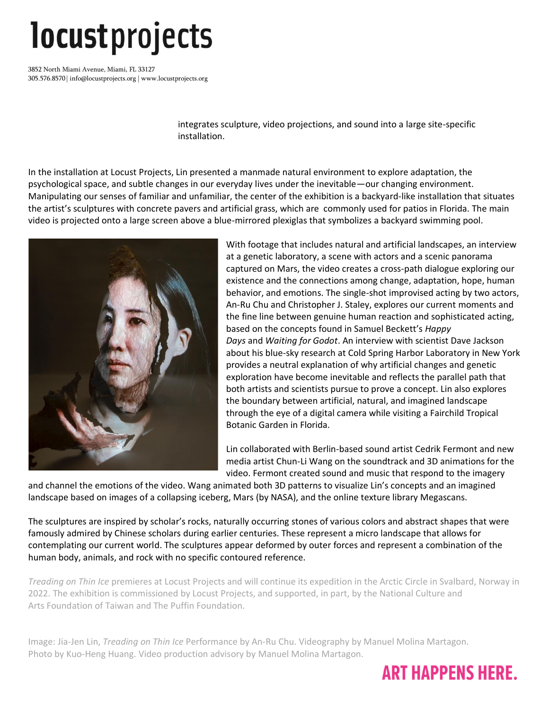## *locustprojects*

3852 North Miami Avenue, Miami, FL 33127 305.576.8570 | info@locustprojects.org | www.locustprojects.org

> integrates sculpture, video projections, and sound into a large site-specific installation.

In the installation at Locust Projects, Lin presented a manmade natural environment to explore adaptation, the psychological space, and subtle changes in our everyday lives under the inevitable—our changing environment. Manipulating our senses of familiar and unfamiliar, the center of the exhibition is a backyard-like installation that situates the artist's sculptures with concrete pavers and artificial grass, which are commonly used for patios in Florida. The main video is projected onto a large screen above a blue-mirrored plexiglas that symbolizes a backyard swimming pool.



With footage that includes natural and artificial landscapes, an interview at a genetic laboratory, a scene with actors and a scenic panorama captured on Mars, the video creates a cross-path dialogue exploring our existence and the connections among change, adaptation, hope, human behavior, and emotions. The single-shot improvised acting by two actors, An-Ru Chu and Christopher J. Staley, explores our current moments and the fine line between genuine human reaction and sophisticated acting, based on the concepts found in Samuel Beckett's *Happy Days* and *Waiting for Godot*. An interview with scientist Dave Jackson about his blue-sky research at Cold Spring Harbor Laboratory in New York provides a neutral explanation of why artificial changes and genetic exploration have become inevitable and reflects the parallel path that both artists and scientists pursue to prove a concept. Lin also explores the boundary between artificial, natural, and imagined landscape through the eye of a digital camera while visiting a Fairchild Tropical Botanic Garden in Florida.

Lin collaborated with Berlin-based sound artist Cedrik Fermont and new media artist Chun-Li Wang on the soundtrack and 3D animations for the video. Fermont created sound and music that respond to the imagery

and channel the emotions of the video. Wang animated both 3D patterns to visualize Lin's concepts and an imagined landscape based on images of a collapsing iceberg, Mars (by NASA), and the online texture library Megascans.

The sculptures are inspired by scholar's rocks, naturally occurring stones of various colors and abstract shapes that were famously admired by Chinese scholars during earlier centuries. These represent a micro landscape that allows for contemplating our current world. The sculptures appear deformed by outer forces and represent a combination of the human body, animals, and rock with no specific contoured reference.

*Treading on Thin Ice* premieres at Locust Projects and will continue its expedition in the Arctic Circle in Svalbard, Norway in 2022. The exhibition is commissioned by Locust Projects, and supported, in part, by the National Culture and Arts Foundation of Taiwan and The Puffin Foundation.

Image: Jia-Jen Lin, *Treading on Thin Ice* Performance by An-Ru Chu. Videography by Manuel Molina Martagon. Photo by Kuo-Heng Huang. Video production advisory by Manuel Molina Martagon.